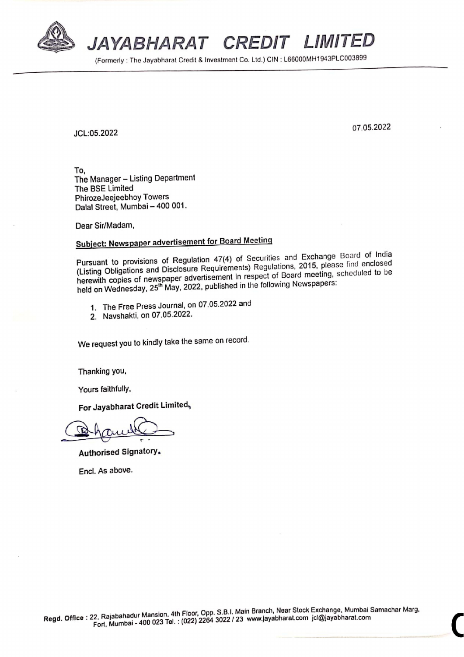

JAYABHARAT CREDIT LIMITED JAYABHARAT C

(Formerly : The Jayabharat Credit & Investment Co. Ltd.) CIN : L66000MH1943PLC003899

JCL:05.2022 07.05.2022

To, The Manager — Listing Department PhirozeJeejeebhoy Towers Dalal Street, Mumbai — 400 001.

Dear Sir/Madam,

## Subject: Newspaper advertisement for Board Meeting

Pursuant to provisions of Regulation 47(4) of Securities and Exchange Board of India (Listing Obligations and Disclosure Requirements) Regulations, 2015, please find enclosed herewith copies of newspaper advertisement in respect of Board meeting, scheduled to be held on Wednesday, 25" May, 2022, published in the following Newspapers:

- 1. The Free Press Journal, on 07.05.2022 and
- 2. Navshakti, on 07.05.2022.

We request you to kindly take the same on record.

Thanking you,

Yours faithfully,

For Jayabharat Credit Limited,

Authorised Signatory.

Encl. As above.